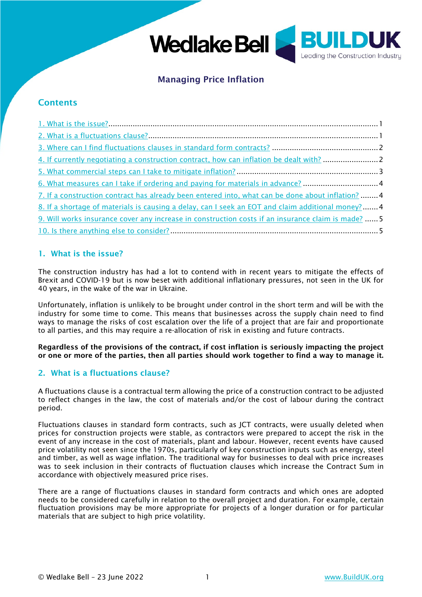

# Managing Price Inflation

## **Contents**

| 6. What measures can I take if ordering and paying for materials in advance? 4                     |  |
|----------------------------------------------------------------------------------------------------|--|
| 7. If a construction contract has already been entered into, what can be done about inflation?  4  |  |
| 8. If a shortage of materials is causing a delay, can I seek an EOT and claim additional money?4   |  |
| 9. Will works insurance cover any increase in construction costs if an insurance claim is made?  5 |  |
|                                                                                                    |  |

## <span id="page-0-0"></span>1. What is the issue?

The construction industry has had a lot to contend with in recent years to mitigate the effects of Brexit and COVID-19 but is now beset with additional inflationary pressures, not seen in the UK for 40 years, in the wake of the war in Ukraine.

Unfortunately, inflation is unlikely to be brought under control in the short term and will be with the industry for some time to come. This means that businesses across the supply chain need to find ways to manage the risks of cost escalation over the life of a project that are fair and proportionate to all parties, and this may require a re-allocation of risk in existing and future contracts.

Regardless of the provisions of the contract, if cost inflation is seriously impacting the project or one or more of the parties, then all parties should work together to find a way to manage it.

## <span id="page-0-1"></span>2. What is a fluctuations clause?

A fluctuations clause is a contractual term allowing the price of a construction contract to be adjusted to reflect changes in the law, the cost of materials and/or the cost of labour during the contract period.

Fluctuations clauses in standard form contracts, such as JCT contracts, were usually deleted when prices for construction projects were stable, as contractors were prepared to accept the risk in the event of any increase in the cost of materials, plant and labour. However, recent events have caused price volatility not seen since the 1970s, particularly of key construction inputs such as energy, steel and timber, as well as wage inflation. The traditional way for businesses to deal with price increases was to seek inclusion in their contracts of fluctuation clauses which increase the Contract Sum in accordance with objectively measured price rises.

There are a range of fluctuations clauses in standard form contracts and which ones are adopted needs to be considered carefully in relation to the overall project and duration. For example, certain fluctuation provisions may be more appropriate for projects of a longer duration or for particular materials that are subject to high price volatility.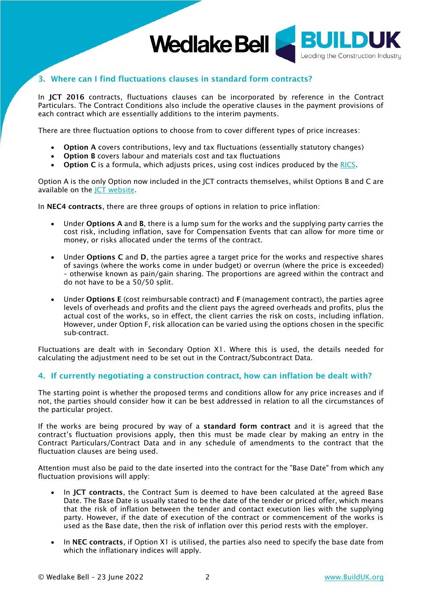

## <span id="page-1-0"></span>3. Where can I find fluctuations clauses in standard form contracts?

In JCT 2016 contracts, fluctuations clauses can be incorporated by reference in the Contract Particulars. The Contract Conditions also include the operative clauses in the payment provisions of each contract which are essentially additions to the interim payments.

There are three fluctuation options to choose from to cover different types of price increases:

- Option A covers contributions, levy and tax fluctuations (essentially statutory changes)
- Option B covers labour and materials cost and tax fluctuations
- Option C is a formula, which adjusts prices, using cost indices produced by the [RICS.](https://www.rics.org/uk/products/data-products/bcis-construction/what-are-bcis-inflation-indices/)

Option A is the only Option now included in the JCT contracts themselves, whilst Options B and C are available on the [JCT website.](https://www.jctltd.co.uk/useful-documents/fluctuations-options-b-and-c)

In NEC4 contracts, there are three groups of options in relation to price inflation:

- Under **Options A** and **B**, there is a lump sum for the works and the supplying party carries the cost risk, including inflation, save for Compensation Events that can allow for more time or money, or risks allocated under the terms of the contract.
- Under Options C and D, the parties agree a target price for the works and respective shares of savings (where the works come in under budget) or overrun (where the price is exceeded) – otherwise known as pain/gain sharing. The proportions are agreed within the contract and do not have to be a 50/50 split.
- Under Options E (cost reimbursable contract) and F (management contract), the parties agree levels of overheads and profits and the client pays the agreed overheads and profits, plus the actual cost of the works, so in effect, the client carries the risk on costs, including inflation. However, under Option F, risk allocation can be varied using the options chosen in the specific sub-contract.

Fluctuations are dealt with in Secondary Option X1. Where this is used, the details needed for calculating the adjustment need to be set out in the Contract/Subcontract Data.

### <span id="page-1-1"></span>4. If currently negotiating a construction contract, how can inflation be dealt with?

The starting point is whether the proposed terms and conditions allow for any price increases and if not, the parties should consider how it can be best addressed in relation to all the circumstances of the particular project.

If the works are being procured by way of a standard form contract and it is agreed that the contract's fluctuation provisions apply, then this must be made clear by making an entry in the Contract Particulars/Contract Data and in any schedule of amendments to the contract that the fluctuation clauses are being used.

Attention must also be paid to the date inserted into the contract for the "Base Date" from which any fluctuation provisions will apply:

- In JCT contracts, the Contract Sum is deemed to have been calculated at the agreed Base Date. The Base Date is usually stated to be the date of the tender or priced offer, which means that the risk of inflation between the tender and contact execution lies with the supplying party. However, if the date of execution of the contract or commencement of the works is used as the Base date, then the risk of inflation over this period rests with the employer.
- In NEC contracts, if Option X1 is utilised, the parties also need to specify the base date from which the inflationary indices will apply.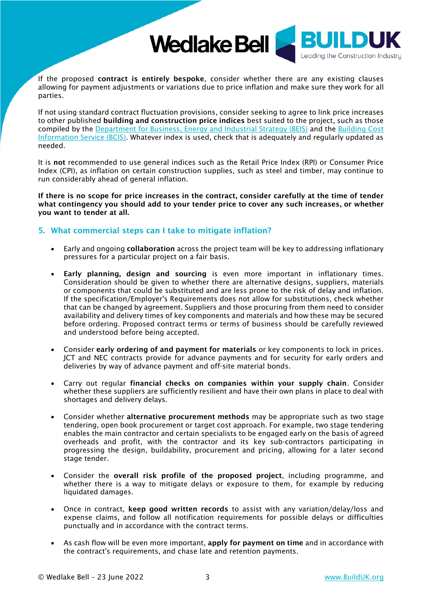

If the proposed contract is entirely bespoke, consider whether there are any existing clauses allowing for payment adjustments or variations due to price inflation and make sure they work for all parties.

If not using standard contract fluctuation provisions, consider seeking to agree to link price increases to other published building and construction price indices best suited to the project, such as those compiled by the [Department for Business, Energy and Industrial Strategy \(BEIS\)](https://data.gov.uk/dataset/75ee36ed-21f7-4d7b-9e7c-f5bf4546145d/monthly-statistics-of-building-materials-and-components) and the [Building Cost](https://bcis.co.uk/)  [Information Service \(BCIS\).](https://bcis.co.uk/) Whatever index is used, check that is adequately and regularly updated as needed.

It is not recommended to use general indices such as the Retail Price Index (RPI) or Consumer Price Index (CPI), as inflation on certain construction supplies, such as steel and timber, may continue to run considerably ahead of general inflation.

If there is no scope for price increases in the contract, consider carefully at the time of tender what contingency you should add to your tender price to cover any such increases, or whether you want to tender at all.

#### <span id="page-2-0"></span>5. What commercial steps can I take to mitigate inflation?

- Early and ongoing collaboration across the project team will be key to addressing inflationary pressures for a particular project on a fair basis.
- Early planning, design and sourcing is even more important in inflationary times. Consideration should be given to whether there are alternative designs, suppliers, materials or components that could be substituted and are less prone to the risk of delay and inflation. If the specification/Employer's Requirements does not allow for substitutions, check whether that can be changed by agreement. Suppliers and those procuring from them need to consider availability and delivery times of key components and materials and how these may be secured before ordering. Proposed contract terms or terms of business should be carefully reviewed and understood before being accepted.
- Consider early ordering of and payment for materials or key components to lock in prices. JCT and NEC contracts provide for advance payments and for security for early orders and deliveries by way of advance payment and off-site material bonds.
- Carry out regular financial checks on companies within your supply chain. Consider whether these suppliers are sufficiently resilient and have their own plans in place to deal with shortages and delivery delays.
- Consider whether alternative procurement methods may be appropriate such as two stage tendering, open book procurement or target cost approach. For example, two stage tendering enables the main contractor and certain specialists to be engaged early on the basis of agreed overheads and profit, with the contractor and its key sub-contractors participating in progressing the design, buildability, procurement and pricing, allowing for a later second stage tender.
- Consider the overall risk profile of the proposed project, including programme, and whether there is a way to mitigate delays or exposure to them, for example by reducing liquidated damages.
- Once in contract, keep good written records to assist with any variation/delay/loss and expense claims, and follow all notification requirements for possible delays or difficulties punctually and in accordance with the contract terms.
- As cash flow will be even more important, apply for payment on time and in accordance with the contract's requirements, and chase late and retention payments.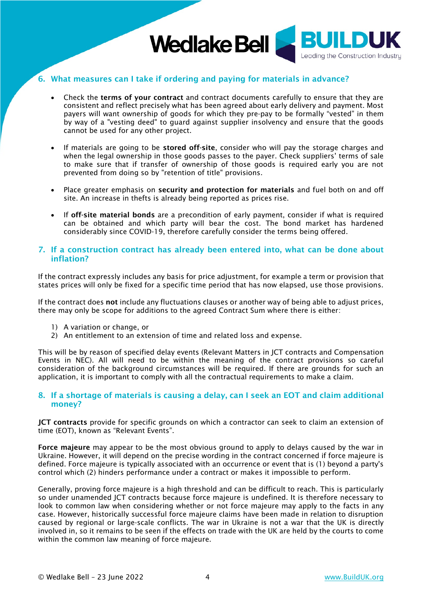

## <span id="page-3-0"></span>6. What measures can I take if ordering and paying for materials in advance?

- Check the terms of your contract and contract documents carefully to ensure that they are consistent and reflect precisely what has been agreed about early delivery and payment. Most payers will want ownership of goods for which they pre-pay to be formally "vested" in them by way of a "vesting deed" to guard against supplier insolvency and ensure that the goods cannot be used for any other project.
- If materials are going to be stored off-site, consider who will pay the storage charges and when the legal ownership in those goods passes to the payer. Check suppliers' terms of sale to make sure that if transfer of ownership of those goods is required early you are not prevented from doing so by "retention of title" provisions.
- Place greater emphasis on security and protection for materials and fuel both on and off site. An increase in thefts is already being reported as prices rise.
- If off-site material bonds are a precondition of early payment, consider if what is required can be obtained and which party will bear the cost. The bond market has hardened considerably since COVID-19, therefore carefully consider the terms being offered.

#### <span id="page-3-1"></span>7. If a construction contract has already been entered into, what can be done about inflation?

If the contract expressly includes any basis for price adjustment, for example a term or provision that states prices will only be fixed for a specific time period that has now elapsed, use those provisions.

If the contract does not include any fluctuations clauses or another way of being able to adjust prices, there may only be scope for additions to the agreed Contract Sum where there is either:

- 1) A variation or change, or
- 2) An entitlement to an extension of time and related loss and expense.

This will be by reason of specified delay events (Relevant Matters in JCT contracts and Compensation Events in NEC). All will need to be within the meaning of the contract provisions so careful consideration of the background circumstances will be required. If there are grounds for such an application, it is important to comply with all the contractual requirements to make a claim.

#### <span id="page-3-2"></span>8. If a shortage of materials is causing a delay, can I seek an EOT and claim additional money?

JCT contracts provide for specific grounds on which a contractor can seek to claim an extension of time (EOT), known as "Relevant Events".

Force majeure may appear to be the most obvious ground to apply to delays caused by the war in Ukraine. However, it will depend on the precise wording in the contract concerned if force majeure is defined. Force majeure is typically associated with an occurrence or event that is (1) beyond a party's control which (2) hinders performance under a contract or makes it impossible to perform.

Generally, proving force majeure is a high threshold and can be difficult to reach. This is particularly so under unamended JCT contracts because force majeure is undefined. It is therefore necessary to look to common law when considering whether or not force majeure may apply to the facts in any case. However, historically successful force majeure claims have been made in relation to disruption caused by regional or large-scale conflicts. The war in Ukraine is not a war that the UK is directly involved in, so it remains to be seen if the effects on trade with the UK are held by the courts to come within the common law meaning of force majeure.